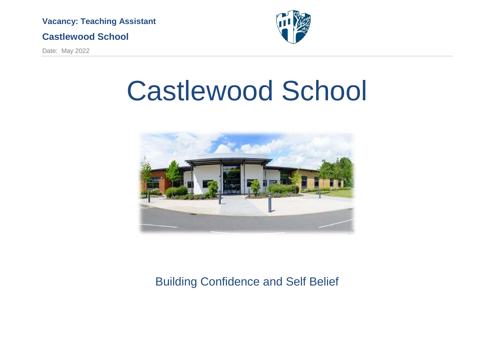

## **Castlewood School**

Date: May 2022



# Castlewood School



# Building Confidence and Self Belief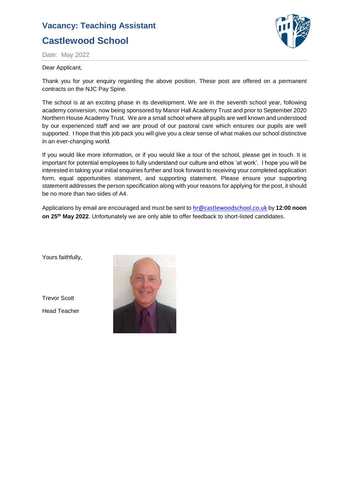# **Vacancy: Teaching Assistant Castlewood School**



Date: May 2022

#### Dear Applicant,

Thank you for your enquiry regarding the above position. These post are offered on a permanent contracts on the NJC Pay Spine.

The school is at an exciting phase in its development. We are in the seventh school year, following academy conversion, now being sponsored by Manor Hall Academy Trust and prior to September 2020 Northern House Academy Trust. We are a small school where all pupils are well known and understood by our experienced staff and we are proud of our pastoral care which ensures our pupils are well supported. I hope that this job pack you will give you a clear sense of what makes our school distinctive in an ever-changing world.

If you would like more information, or if you would like a tour of the school, please get in touch. It is important for potential employees to fully understand our culture and ethos 'at work'. I hope you will be interested in taking your initial enquiries further and look forward to receiving your completed application form, equal opportunities statement, and supporting statement. Please ensure your supporting statement addresses the person specification along with your reasons for applying for the post, it should be no more than two sides of A4.

Applications by email are encouraged and must be sent to [hr@castlewoodschool.co.uk](mailto:hr@castlewoodschool.co.uk) by **12:00 noon on 25 th May 2022**. Unfortunately we are only able to offer feedback to short-listed candidates.

Yours faithfully,

Trevor Scott Head Teacher

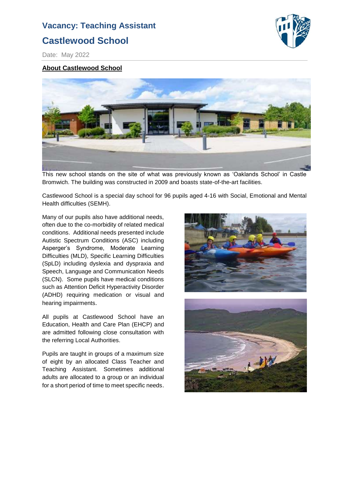## **Castlewood School**



Date: May 2022

#### **About Castlewood School**



This new school stands on the site of what was previously known as 'Oaklands School' in Castle Bromwich. The building was constructed in 2009 and boasts state-of-the-art facilities.

Castlewood School is a special day school for 96 pupils aged 4-16 with Social, Emotional and Mental Health difficulties (SEMH).

Many of our pupils also have additional needs, often due to the co-morbidity of related medical conditions. Additional needs presented include Autistic Spectrum Conditions (ASC) including Asperger's Syndrome, Moderate Learning Difficulties (MLD), Specific Learning Difficulties (SpLD) including dyslexia and dyspraxia and Speech, Language and Communication Needs (SLCN). Some pupils have medical conditions such as Attention Deficit Hyperactivity Disorder (ADHD) requiring medication or visual and hearing impairments.

All pupils at Castlewood School have an Education, Health and Care Plan (EHCP) and are admitted following close consultation with the referring Local Authorities.

Pupils are taught in groups of a maximum size of eight by an allocated Class Teacher and Teaching Assistant. Sometimes additional adults are allocated to a group or an individual for a short period of time to meet specific needs.



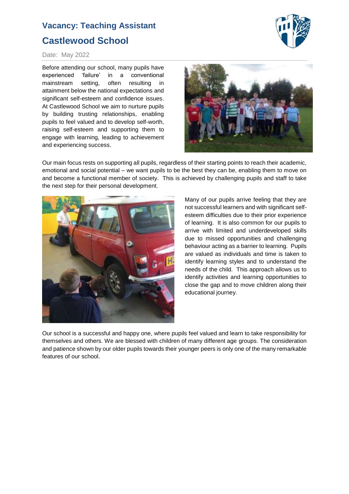# **Vacancy: Teaching Assistant Castlewood School**



#### Date: May 2022

Before attending our school, many pupils have experienced 'failure' in a conventional mainstream setting, often resulting in attainment below the national expectations and significant self-esteem and confidence issues. At Castlewood School we aim to nurture pupils by building trusting relationships, enabling pupils to feel valued and to develop self-worth, raising self-esteem and supporting them to engage with learning, leading to achievement and experiencing success.



Our main focus rests on supporting all pupils, regardless of their starting points to reach their academic, emotional and social potential – we want pupils to be the best they can be, enabling them to move on and become a functional member of society. This is achieved by challenging pupils and staff to take the next step for their personal development.



Many of our pupils arrive feeling that they are not successful learners and with significant selfesteem difficulties due to their prior experience of learning. It is also common for our pupils to arrive with limited and underdeveloped skills due to missed opportunities and challenging behaviour acting as a barrier to learning. Pupils are valued as individuals and time is taken to identify learning styles and to understand the needs of the child. This approach allows us to identify activities and learning opportunities to close the gap and to move children along their educational journey.

Our school is a successful and happy one, where pupils feel valued and learn to take responsibility for themselves and others. We are blessed with children of many different age groups. The consideration and patience shown by our older pupils towards their younger peers is only one of the many remarkable features of our school.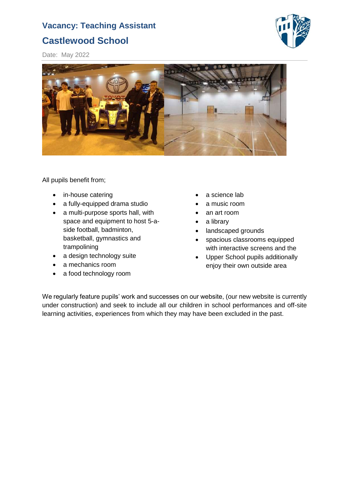# **Castlewood School**



Date: May 2022



All pupils benefit from;

- in-house catering
- a fully-equipped drama studio
- a multi-purpose sports hall, with space and equipment to host 5-aside football, badminton, basketball, gymnastics and trampolining
- a design technology suite
- a mechanics room
- a food technology room
- a science lab
- a music room
- an art room
- a library
- landscaped grounds
- spacious classrooms equipped with interactive screens and the
- Upper School pupils additionally enjoy their own outside area

We regularly feature pupils' work and successes on our website, (our new website is currently under construction) and seek to include all our children in school performances and off-site learning activities, experiences from which they may have been excluded in the past.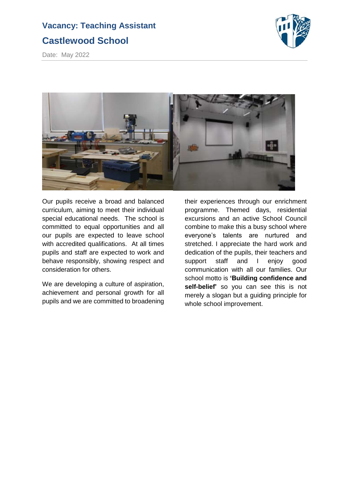# **Vacancy: Teaching Assistant Castlewood School**



Date: May 2022



Our pupils receive a broad and balanced curriculum, aiming to meet their individual special educational needs. The school is committed to equal opportunities and all our pupils are expected to leave school with accredited qualifications. At all times pupils and staff are expected to work and behave responsibly, showing respect and consideration for others.

We are developing a culture of aspiration, achievement and personal growth for all pupils and we are committed to broadening

their experiences through our enrichment programme. Themed days, residential excursions and an active School Council combine to make this a busy school where everyone's talents are nurtured and stretched. I appreciate the hard work and dedication of the pupils, their teachers and support staff and I enjoy good communication with all our families. Our school motto is **'Building confidence and self-belief'** so you can see this is not merely a slogan but a guiding principle for whole school improvement.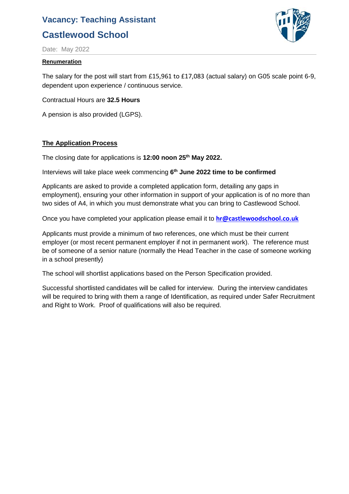# **Castlewood School**



Date: May 2022

#### **Renumeration**

The salary for the post will start from £15,961 to £17,083 (actual salary) on G05 scale point 6-9, dependent upon experience / continuous service.

Contractual Hours are **32.5 Hours**

A pension is also provided (LGPS).

#### **The Application Process**

The closing date for applications is **12:00 noon 25 th May 2022.**

Interviews will take place week commencing **6 th June 2022 time to be confirmed**

Applicants are asked to provide a completed application form, detailing any gaps in employment), ensuring your other information in support of your application is of no more than two sides of A4, in which you must demonstrate what you can bring to Castlewood School.

Once you have completed your application please email it to **[hr@castlewoodschool.co.uk](mailto:hr@castlewoodschool.co.uk)**

Applicants must provide a minimum of two references, one which must be their current employer (or most recent permanent employer if not in permanent work). The reference must be of someone of a senior nature (normally the Head Teacher in the case of someone working in a school presently)

The school will shortlist applications based on the Person Specification provided.

Successful shortlisted candidates will be called for interview. During the interview candidates will be required to bring with them a range of Identification, as required under Safer Recruitment and Right to Work. Proof of qualifications will also be required.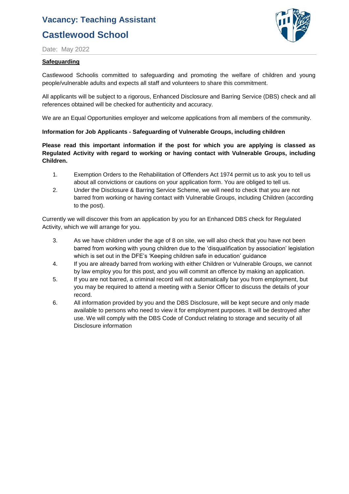# **Castlewood School**



Date: May 2022

#### **Safeguarding**

Castlewood Schoolis committed to safeguarding and promoting the welfare of children and young people/vulnerable adults and expects all staff and volunteers to share this commitment.

All applicants will be subject to a rigorous, Enhanced Disclosure and Barring Service (DBS) check and all references obtained will be checked for authenticity and accuracy.

We are an Equal Opportunities employer and welcome applications from all members of the community.

#### **Information for Job Applicants - Safeguarding of Vulnerable Groups, including children**

**Please read this important information if the post for which you are applying is classed as Regulated Activity with regard to working or having contact with Vulnerable Groups, including Children.**

- 1. Exemption Orders to the Rehabilitation of Offenders Act 1974 permit us to ask you to tell us about all convictions or cautions on your application form. You are obliged to tell us.
- 2. Under the Disclosure & Barring Service Scheme, we will need to check that you are not barred from working or having contact with Vulnerable Groups, including Children (according to the post).

Currently we will discover this from an application by you for an Enhanced DBS check for Regulated Activity, which we will arrange for you.

- 3. As we have children under the age of 8 on site, we will also check that you have not been barred from working with young children due to the 'disqualification by association' legislation which is set out in the DFE's 'Keeping children safe in education' guidance
- 4. If you are already barred from working with either Children or Vulnerable Groups, we cannot by law employ you for this post, and you will commit an offence by making an application.
- 5. If you are not barred, a criminal record will not automatically bar you from employment, but you may be required to attend a meeting with a Senior Officer to discuss the details of your record.
- 6. All information provided by you and the DBS Disclosure, will be kept secure and only made available to persons who need to view it for employment purposes. It will be destroyed after use. We will comply with the DBS Code of Conduct relating to storage and security of all Disclosure information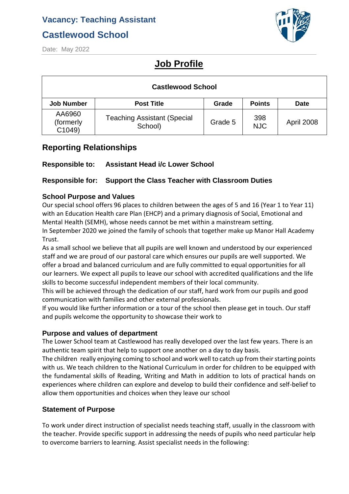# **Castlewood School**



Date: May 2022

# **Job Profile**

| <b>Castlewood School</b>       |                                               |         |                   |                   |  |
|--------------------------------|-----------------------------------------------|---------|-------------------|-------------------|--|
| <b>Job Number</b>              | <b>Post Title</b>                             | Grade   | <b>Points</b>     | <b>Date</b>       |  |
| AA6960<br>(formerly)<br>C1049) | <b>Teaching Assistant (Special</b><br>School) | Grade 5 | 398<br><b>NJC</b> | <b>April 2008</b> |  |

## **Reporting Relationships**

## **Responsible to: Assistant Head i/c Lower School**

## **Responsible for: Support the Class Teacher with Classroom Duties**

## **School Purpose and Values**

Our special school offers 96 places to children between the ages of 5 and 16 (Year 1 to Year 11) with an Education Health care Plan (EHCP) and a primary diagnosis of Social, Emotional and Mental Health (SEMH), whose needs cannot be met within a mainstream setting.

In September 2020 we joined the family of schools that together make up Manor Hall Academy Trust.

As a small school we believe that all pupils are well known and understood by our experienced staff and we are proud of our pastoral care which ensures our pupils are well supported. We offer a broad and balanced curriculum and are fully committed to equal opportunities for all our learners. We expect all pupils to leave our school with accredited qualifications and the life skills to become successful independent members of their local community.

This will be achieved through the dedication of our staff, hard work from our pupils and good communication with families and other external professionals.

If you would like further information or a tour of the school then please get in touch. Our staff and pupils welcome the opportunity to showcase their work to

## **Purpose and values of department**

The Lower School team at Castlewood has really developed over the last few years. There is an authentic team spirit that help to support one another on a day to day basis.

The children really enjoying coming to school and work well to catch up from their starting points with us. We teach children to the National Curriculum in order for children to be equipped with the fundamental skills of Reading, Writing and Math in addition to lots of practical hands on experiences where children can explore and develop to build their confidence and self-belief to allow them opportunities and choices when they leave our school

## **Statement of Purpose**

To work under direct instruction of specialist needs teaching staff, usually in the classroom with the teacher. Provide specific support in addressing the needs of pupils who need particular help to overcome barriers to learning. Assist specialist needs in the following: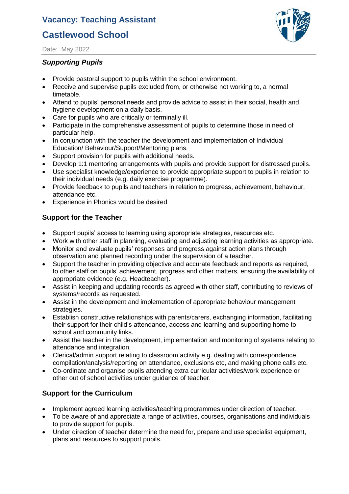## **Castlewood School**



Date: May 2022

### *Supporting Pupils*

- Provide pastoral support to pupils within the school environment.
- Receive and supervise pupils excluded from, or otherwise not working to, a normal timetable.
- Attend to pupils' personal needs and provide advice to assist in their social, health and hygiene development on a daily basis.
- Care for pupils who are critically or terminally ill.
- Participate in the comprehensive assessment of pupils to determine those in need of particular help.
- In conjunction with the teacher the development and implementation of Individual Education/ Behaviour/Support/Mentoring plans.
- Support provision for pupils with additional needs.
- Develop 1:1 mentoring arrangements with pupils and provide support for distressed pupils.
- Use specialist knowledge/experience to provide appropriate support to pupils in relation to their individual needs (e.g. daily exercise programme).
- Provide feedback to pupils and teachers in relation to progress, achievement, behaviour, attendance etc.
- Experience in Phonics would be desired

## **Support for the Teacher**

- Support pupils' access to learning using appropriate strategies, resources etc.
- Work with other staff in planning, evaluating and adjusting learning activities as appropriate.
- Monitor and evaluate pupils' responses and progress against action plans through observation and planned recording under the supervision of a teacher.
- Support the teacher in providing objective and accurate feedback and reports as required, to other staff on pupils' achievement, progress and other matters, ensuring the availability of appropriate evidence (e.g. Headteacher).
- Assist in keeping and updating records as agreed with other staff, contributing to reviews of systems/records as requested.
- Assist in the development and implementation of appropriate behaviour management strategies.
- Establish constructive relationships with parents/carers, exchanging information, facilitating their support for their child's attendance, access and learning and supporting home to school and community links.
- Assist the teacher in the development, implementation and monitoring of systems relating to attendance and integration.
- Clerical/admin support relating to classroom activity e.g. dealing with correspondence, compilation/analysis/reporting on attendance, exclusions etc, and making phone calls etc.
- Co-ordinate and organise pupils attending extra curricular activities/work experience or other out of school activities under guidance of teacher.

## **Support for the Curriculum**

- Implement agreed learning activities/teaching programmes under direction of teacher.
- To be aware of and appreciate a range of activities, courses, organisations and individuals to provide support for pupils.
- Under direction of teacher determine the need for, prepare and use specialist equipment, plans and resources to support pupils.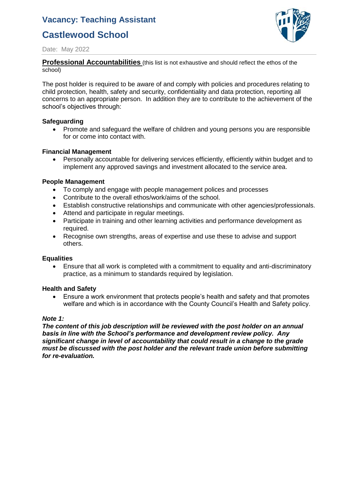# **Castlewood School**



Date: May 2022

**Professional Accountabilities** (this list is not exhaustive and should reflect the ethos of the school)

The post holder is required to be aware of and comply with policies and procedures relating to child protection, health, safety and security, confidentiality and data protection, reporting all concerns to an appropriate person. In addition they are to contribute to the achievement of the school's objectives through:

#### **Safeguarding**

• Promote and safeguard the welfare of children and young persons you are responsible for or come into contact with.

#### **Financial Management**

• Personally accountable for delivering services efficiently, efficiently within budget and to implement any approved savings and investment allocated to the service area.

#### **People Management**

- To comply and engage with people management polices and processes
- Contribute to the overall ethos/work/aims of the school.
- Establish constructive relationships and communicate with other agencies/professionals.
- Attend and participate in regular meetings.
- Participate in training and other learning activities and performance development as required.
- Recognise own strengths, areas of expertise and use these to advise and support others.

#### **Equalities**

• Ensure that all work is completed with a commitment to equality and anti-discriminatory practice, as a minimum to standards required by legislation.

#### **Health and Safety**

• Ensure a work environment that protects people's health and safety and that promotes welfare and which is in accordance with the County Council's Health and Safety policy.

#### *Note 1:*

*The content of this job description will be reviewed with the post holder on an annual basis in line with the School's performance and development review policy. Any significant change in level of accountability that could result in a change to the grade must be discussed with the post holder and the relevant trade union before submitting for re-evaluation.*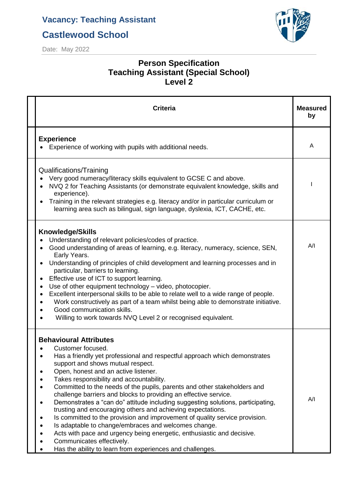**Castlewood School**



Date: May 2022

## **Person Specification Teaching Assistant (Special School) Level 2**

| <b>Criteria</b>                                                                                                                                                                                                                                                                                                                                                                                                                                                                                                                                                                                                                                                                                                                                                                                                                                                                     | <b>Measured</b><br>by |
|-------------------------------------------------------------------------------------------------------------------------------------------------------------------------------------------------------------------------------------------------------------------------------------------------------------------------------------------------------------------------------------------------------------------------------------------------------------------------------------------------------------------------------------------------------------------------------------------------------------------------------------------------------------------------------------------------------------------------------------------------------------------------------------------------------------------------------------------------------------------------------------|-----------------------|
| <b>Experience</b><br>Experience of working with pupils with additional needs.                                                                                                                                                                                                                                                                                                                                                                                                                                                                                                                                                                                                                                                                                                                                                                                                       | A                     |
| Qualifications/Training<br>Very good numeracy/literacy skills equivalent to GCSE C and above.<br>NVQ 2 for Teaching Assistants (or demonstrate equivalent knowledge, skills and<br>experience).<br>Training in the relevant strategies e.g. literacy and/or in particular curriculum or<br>$\bullet$<br>learning area such as bilingual, sign language, dyslexia, ICT, CACHE, etc.                                                                                                                                                                                                                                                                                                                                                                                                                                                                                                  |                       |
| <b>Knowledge/Skills</b><br>Understanding of relevant policies/codes of practice.<br>Good understanding of areas of learning, e.g. literacy, numeracy, science, SEN,<br>Early Years.<br>Understanding of principles of child development and learning processes and in<br>$\bullet$<br>particular, barriers to learning.<br>Effective use of ICT to support learning.<br>٠<br>Use of other equipment technology - video, photocopier.<br>٠<br>Excellent interpersonal skills to be able to relate well to a wide range of people.<br>$\bullet$<br>Work constructively as part of a team whilst being able to demonstrate initiative.<br>$\bullet$<br>Good communication skills.<br>Willing to work towards NVQ Level 2 or recognised equivalent.                                                                                                                                     | A/I                   |
| <b>Behavioural Attributes</b><br>Customer focused.<br>Has a friendly yet professional and respectful approach which demonstrates<br>support and shows mutual respect.<br>Open, honest and an active listener.<br>Takes responsibility and accountability.<br>Committed to the needs of the pupils, parents and other stakeholders and<br>challenge barriers and blocks to providing an effective service.<br>Demonstrates a "can do" attitude including suggesting solutions, participating,<br>$\bullet$<br>trusting and encouraging others and achieving expectations.<br>Is committed to the provision and improvement of quality service provision.<br>Is adaptable to change/embraces and welcomes change.<br>Acts with pace and urgency being energetic, enthusiastic and decisive.<br>Communicates effectively.<br>Has the ability to learn from experiences and challenges. | A/I                   |